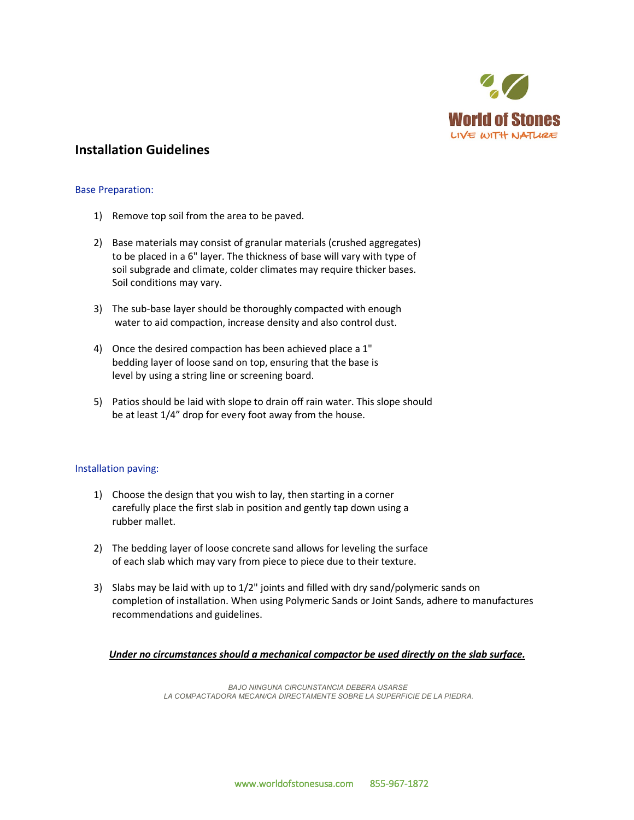

# **Installation Guidelines**

# Base Preparation:

- 1) Remove top soil from the area to be paved.
- 2) Base materials may consist of granular materials (crushed aggregates) to be placed in a 6" layer. The thickness of base will vary with type of soil subgrade and climate, colder climates may require thicker bases. Soil conditions may vary.
- 3) The sub-base layer should be thoroughly compacted with enough water to aid compaction, increase density and also control dust.
- 4) Once the desired compaction has been achieved place a 1" bedding layer of loose sand on top, ensuring that the base is level by using a string line or screening board.
- 5) Patios should be laid with slope to drain off rain water. This slope should be at least 1/4" drop for every foot away from the house.

### Installation paving:

- 1) Choose the design that you wish to lay, then starting in a corner carefully place the first slab in position and gently tap down using a rubber mallet.
- 2) The bedding layer of loose concrete sand allows for leveling the surface of each slab which may vary from piece to piece due to their texture.
- 3) Slabs may be laid with up to 1/2" joints and filled with dry sand/polymeric sands on completion of installation. When using Polymeric Sands or Joint Sands, adhere to manufactures recommendations and guidelines.

### *Under no circumstances should a mechanical compactor be used directly on the slab surface.*

*BAJO NINGUNA CIRCUNSTANCIA DEBERA USARSE LA COMPACTADORA MECAN/CA DIRECTAMENTE SOBRE LA SUPERFICIE DE LA PIEDRA.*